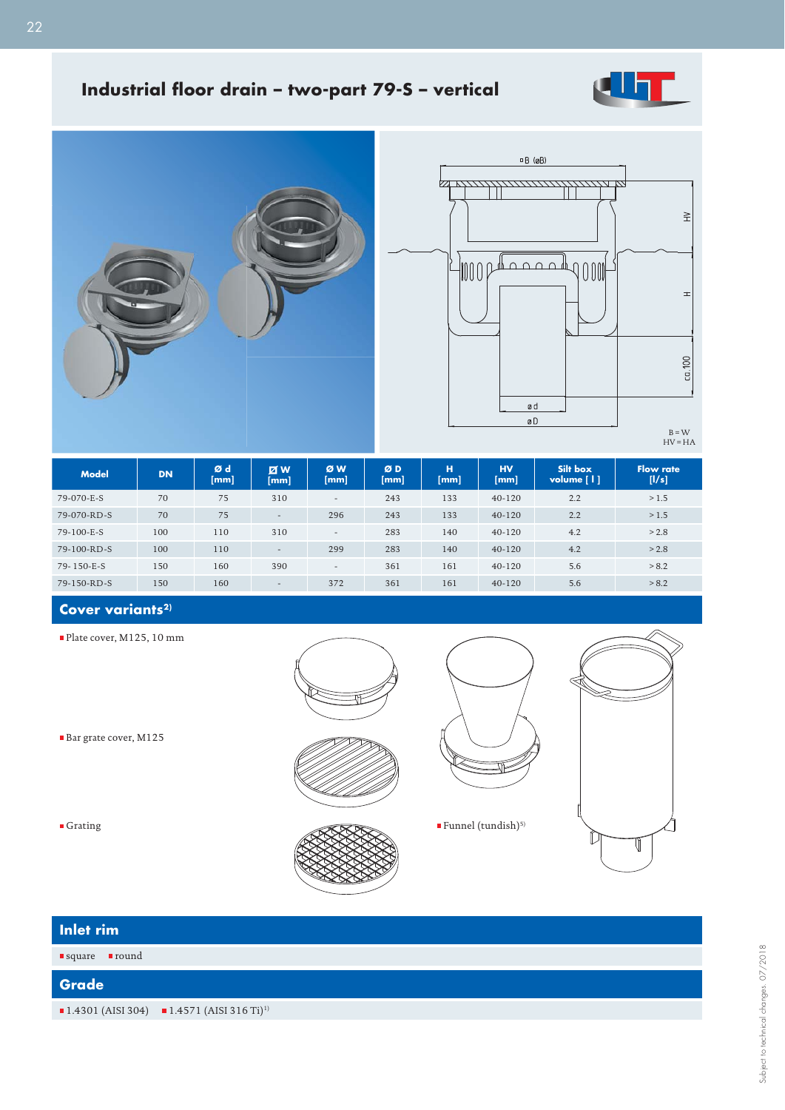

# **Industrial floor drain - two-part 79-S - vertical**





 $B = W$ <br>HV = HA

| <b>Model</b>  | <b>DN</b> | Ød<br>[mm] | <b>ZW</b><br>[mm]        | ØW<br>[mm]               | ØD<br>[mm] | н<br>[mm] | <b>HV</b><br>[mm] | Silt box<br>volume $\lceil \cdot \rceil$ | <b>Flow rate</b><br>[1/s] |
|---------------|-----------|------------|--------------------------|--------------------------|------------|-----------|-------------------|------------------------------------------|---------------------------|
| 79-070-E-S    | 70        | 75         | 310                      | $\overline{\phantom{a}}$ | 243        | 133       | $40 - 120$        | 2.2                                      | >1.5                      |
| $79-070-RD-S$ | 70        | 75         | $-$                      | 296                      | 243        | 133       | $40 - 120$        | 2.2                                      | >1.5                      |
| 79-100-E-S    | 100       | 110        | 310                      | $\overline{\phantom{a}}$ | 283        | 140       | $40 - 120$        | 4.2                                      | > 2.8                     |
| $79-100-RD-S$ | 100       | 110        | $\overline{\phantom{a}}$ | 299                      | 283        | 140       | $40 - 120$        | 4.2                                      | > 2.8                     |
| 79-150-E-S    | 150       | 160        | 390                      | $\overline{\phantom{a}}$ | 361        | 161       | $40 - 120$        | 5.6                                      | > 8.2                     |
| 79-150-RD-S   | 150       | 160        | $\overline{\phantom{a}}$ | 372                      | 361        | 161       | $40 - 120$        | 5.6                                      | > 8.2                     |

# Cover variants<sup>2)</sup>

Plate cover, M125, 10 mm

Bar grate cover, M125

■ Grating

**Inlet rin** 

 $\blacksquare$  square

**Grade**

|       | $\blacksquare$<br>Funnel (tundish)^5) |  |
|-------|---------------------------------------|--|
| m     |                                       |  |
| round |                                       |  |
|       |                                       |  |

 $1.4301$  (AISI 304)  $1.4571$  (AISI 316 Ti)<sup>1)</sup>